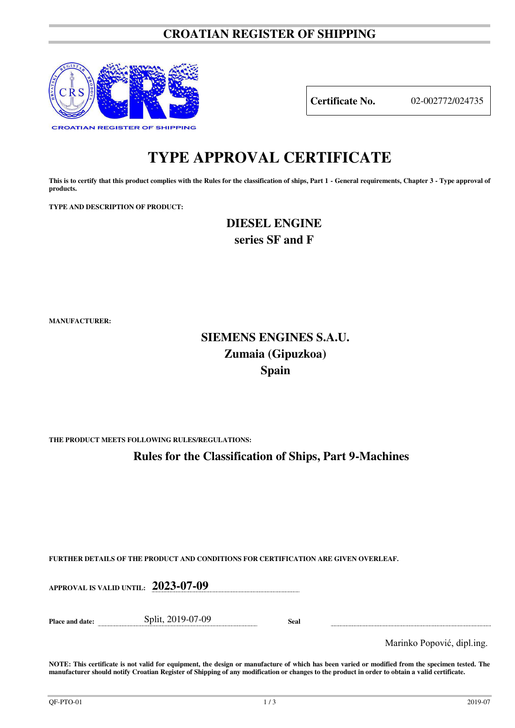### **CROATIAN REGISTER OF SHIPPING**



**Certificate No.** 02-002772/024735

# **TYPE APPROVAL CERTIFICATE**

This is to certify that this product complies with the Rules for the classification of ships, Part 1 - General requirements, Chapter 3 - Type approval of **products.** 

**TYPE AND DESCRIPTION OF PRODUCT:** 

**DIESEL ENGINE series SF and F** 

**MANUFACTURER:**

## **SIEMENS ENGINES S.A.U. Zumaia (Gipuzkoa) Spain**

**THE PRODUCT MEETS FOLLOWING RULES/REGULATIONS:**

**Rules for the Classification of Ships, Part 9-Machines**

**FURTHER DETAILS OF THE PRODUCT AND CONDITIONS FOR CERTIFICATION ARE GIVEN OVERLEAF.**

**APPROVAL IS VALID UNTIL: 2023-07-09 Place and date:** Split, 2019-07-09 **Seal**  Marinko Popović, dipl.ing.

**NOTE: This certificate is not valid for equipment, the design or manufacture of which has been varied or modified from the specimen tested. The manufacturer should notify Croatian Register of Shipping of any modification or changes to the product in order to obtain a valid certificate.**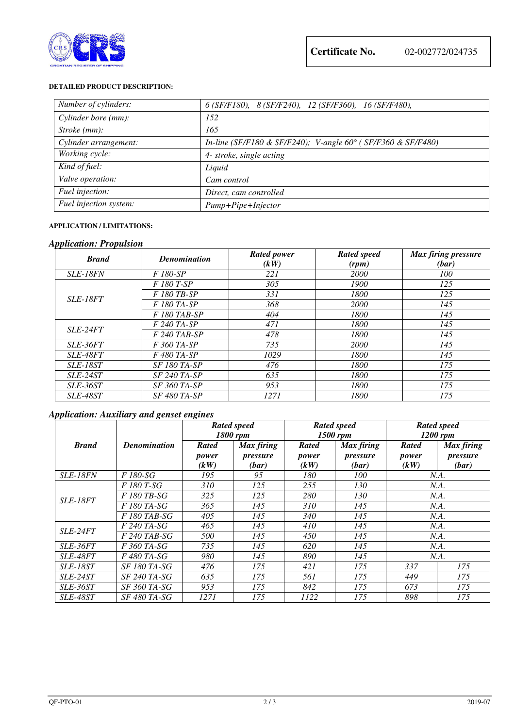

#### **DETAILED PRODUCT DESCRIPTION:**

| Number of cylinders:   | $6(SF/F180)$ , $8(SF/F240)$ , $12(SF/F360)$ , $16(SF/F480)$ , |  |  |  |  |  |
|------------------------|---------------------------------------------------------------|--|--|--|--|--|
| Cylinder bore (mm):    | 152                                                           |  |  |  |  |  |
| Stroke (mm):           | 165                                                           |  |  |  |  |  |
| Cylinder arrangement:  | In-line (SF/F180 & SF/F240); V-angle 60° (SF/F360 & SF/F480)  |  |  |  |  |  |
| Working cycle:         | 4- stroke, single acting                                      |  |  |  |  |  |
| Kind of fuel:          | Liquid                                                        |  |  |  |  |  |
| Valve operation:       | Cam control                                                   |  |  |  |  |  |
| Fuel injection:        | Direct, cam controlled                                        |  |  |  |  |  |
| Fuel injection system: | Pump+Pipe+Injector                                            |  |  |  |  |  |

#### **APPLICATION / LIMITATIONS:**

#### *Application: Propulsion*

| <b>Brand</b>    | <b>Denomination</b> | <b>Rated power</b><br>(kW) | <b>Rated speed</b><br>(rpm) | Max firing pressure<br>(bar) |
|-----------------|---------------------|----------------------------|-----------------------------|------------------------------|
| <b>SLE-18FN</b> | F 180-SP            | 221                        | 2000                        | 100                          |
| <b>SLE-18FT</b> | F 180 T-SP          | 305                        | 1900                        | 125                          |
|                 | F 180 TB-SP         | 331                        | 1800                        | 125                          |
|                 | F 180 TA-SP         | 368                        | 2000                        | 145                          |
|                 | F 180 TAB-SP        | 404                        | 1800                        | 145                          |
| SLE-24FT        | $F 240 T A-SP$      | 471                        | 1800                        | 145                          |
|                 | $F$ 240 TAB-SP      | 478                        | 1800                        | 145                          |
| <i>SLE-36FT</i> | F 360 TA-SP         | 735                        | <b>2000</b>                 | 145                          |
| <b>SLE-48FT</b> | F 480 TA-SP         | 1029                       | 1800                        | 145                          |
| <b>SLE-18ST</b> | <b>SF 180 TA-SP</b> | 476                        | 1800                        | 175                          |
| $SLE-24ST$      | $SF 240 TA-SP$      | 635                        | 1800                        | 175                          |
| SLE-36ST        | <b>SF 360 TA-SP</b> | 953                        | 1800                        | 175                          |
| <b>SLE-48ST</b> | <b>SF 480 TA-SP</b> | 1271                       | 1800                        | 175                          |

#### *Application: Auxiliary and genset engines*

|                 | <b>Denomination</b> | <b>Rated speed</b><br>1800 rpm |            | <b>Rated speed</b><br>1500 rpm |            | <b>Rated speed</b><br>$1200$ rpm |            |
|-----------------|---------------------|--------------------------------|------------|--------------------------------|------------|----------------------------------|------------|
| <b>Brand</b>    |                     | <b>Rated</b>                   | Max firing | <b>Rated</b>                   | Max firing | <b>Rated</b>                     | Max firing |
|                 |                     | power                          | pressure   | power                          | pressure   | power                            | pressure   |
|                 |                     | (kW)                           | (bar)      | (kW)                           | (bar)      | (kW)                             | (bar)      |
| <i>SLE-18FN</i> | F 180-SG            | 195                            | 95         | 180                            | 100        | N.A.                             |            |
| <i>SLE-18FT</i> | F 180 T-SG          | 310                            | 125        | 255                            | 130        | N.A.                             |            |
|                 | F 180 TB-SG         | 325                            | 125        | 280                            | 130        | N.A.                             |            |
|                 | F 180 TA-SG         | 365                            | 145        | 310                            | 145        | N.A.                             |            |
|                 | F 180 TAB-SG        | 405                            | 145        | 340                            | 145        | N.A.                             |            |
| <i>SLE-24FT</i> | $F$ 240 TA-SG       | 465                            | 145        | 410                            | 145        | N.A.                             |            |
|                 | $F$ 240 TAB-SG      | 500                            | 145        | 450                            | 145        | N.A.                             |            |
| <i>SLE-36FT</i> | F 360 TA-SG         | 735                            | 145        | 620                            | 145        | N.A.                             |            |
| <b>SLE-48FT</b> | F 480 TA-SG         | 980                            | 145        | 890                            | 145        | N.A.                             |            |
| <b>SLE-18ST</b> | <i>SF 180 TA-SG</i> | 476                            | 175        | 421                            | 175        | 337                              | 175        |
| <i>SLE-24ST</i> | <i>SF 240 TA-SG</i> | 635                            | 175        | 561                            | 175        | 449                              | 175        |
| <i>SLE-36ST</i> | <i>SF 360 TA-SG</i> | 953                            | 175        | 842                            | 175        | 673                              | 175        |
| <b>SLE-48ST</b> | <i>SF 480 TA-SG</i> | 1271                           | 175        | 1122                           | 175        | 898                              | 175        |